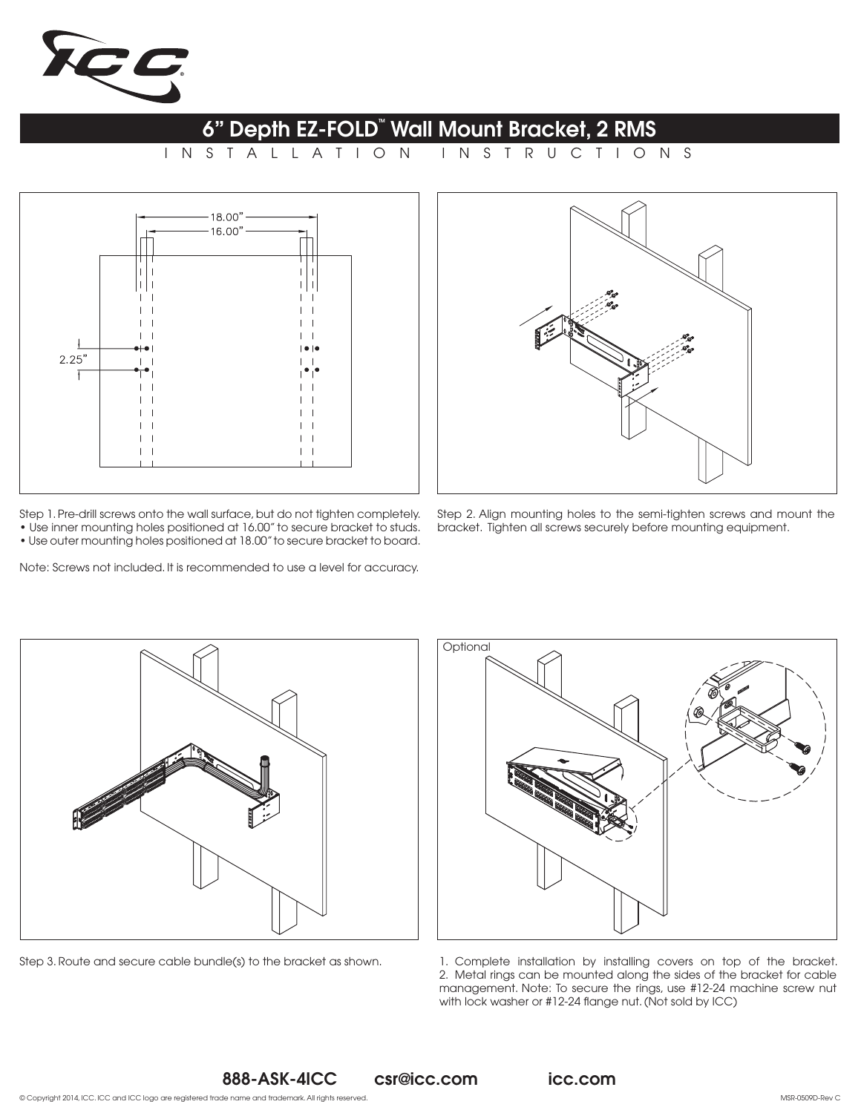

## 6" Depth EZ-FOLD" Wall Mount Bracket, 2 RMS

INSTALLATION INSTRUCTIONS



Step 1. Pre-drill screws onto the wall surface, but do not tighten completely. • Use inner mounting holes positioned at 16.00" to secure bracket to studs. • Use outer mounting holes positioned at 18.00" to secure bracket to board.

Note: Screws not included. It is recommended to use a level for accuracy.



Step 2. Align mounting holes to the semi-tighten screws and mount the bracket. Tighten all screws securely before mounting equipment.





Step 3. Route and secure cable bundle(s) to the bracket as shown. <br>1. Complete installation by installing covers on top of the bracket. 2. Metal rings can be mounted along the sides of the bracket for cable management. Note: To secure the rings, use #12-24 machine screw nut with lock washer or #12-24 flange nut. (Not sold by ICC)

888-ASK-4ICC csr@icc.com icc.com